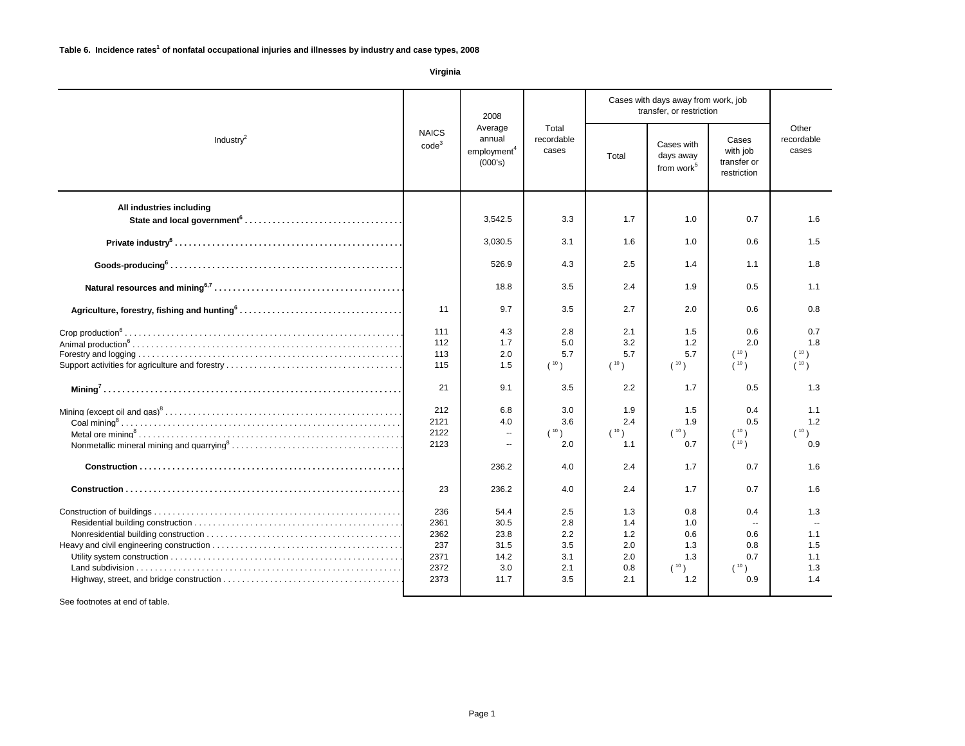| 2008                                                                                                                         |                                                         |                                                     |                                               | Cases with days away from work, job<br>transfer, or restriction |                                                 |                                                         |                                        |
|------------------------------------------------------------------------------------------------------------------------------|---------------------------------------------------------|-----------------------------------------------------|-----------------------------------------------|-----------------------------------------------------------------|-------------------------------------------------|---------------------------------------------------------|----------------------------------------|
| <b>NAICS</b><br>Industry $^2$<br>code <sup>3</sup>                                                                           | Average<br>annual<br>employment <sup>4</sup><br>(000's) | Total<br>recordable<br>cases                        | Total                                         | Cases with<br>days away<br>from work <sup>5</sup>               | Cases<br>with job<br>transfer or<br>restriction | Other<br>recordable<br>cases                            |                                        |
| All industries including                                                                                                     |                                                         | 3,542.5                                             | 3.3                                           | 1.7                                                             | 1.0                                             | 0.7                                                     | 1.6                                    |
|                                                                                                                              |                                                         | 3,030.5                                             | 3.1                                           | 1.6                                                             | 1.0                                             | 0.6                                                     | 1.5                                    |
| $\texttt{Goods-producing}^6 \dots \dots \dots \dots \dots \dots \dots \dots \dots \dots \dots \dots \dots \dots \dots \dots$ |                                                         | 526.9                                               | 4.3                                           | 2.5                                                             | 1.4                                             | 1.1                                                     | 1.8                                    |
|                                                                                                                              |                                                         | 18.8                                                | 3.5                                           | 2.4                                                             | 1.9                                             | 0.5                                                     | 1.1                                    |
|                                                                                                                              | 11                                                      | 9.7                                                 | 3.5                                           | 2.7                                                             | 2.0                                             | 0.6                                                     | 0.8                                    |
|                                                                                                                              | 111<br>112<br>113<br>115                                | 4.3<br>1.7<br>2.0<br>1.5                            | 2.8<br>5.0<br>5.7<br>(10)                     | 2.1<br>3.2<br>5.7<br>(10)                                       | 1.5<br>1.2<br>5.7<br>(10)                       | 0.6<br>2.0<br>(10)<br>(10)                              | 0.7<br>1.8<br>(10)<br>(10)             |
|                                                                                                                              | 21                                                      | 9.1                                                 | 3.5                                           | 2.2                                                             | 1.7                                             | 0.5                                                     | 1.3                                    |
|                                                                                                                              | 212<br>2121<br>2122<br>2123                             | 6.8<br>4.0<br>$\overline{a}$                        | 3.0<br>3.6<br>(10)<br>2.0                     | 1.9<br>2.4<br>(10)<br>1.1                                       | 1.5<br>1.9<br>(10)<br>0.7                       | 0.4<br>0.5<br>(10)<br>(10)                              | 1.1<br>1.2<br>(10)<br>0.9              |
|                                                                                                                              |                                                         | 236.2                                               | 4.0                                           | 2.4                                                             | 1.7                                             | 0.7                                                     | 1.6                                    |
|                                                                                                                              | 23                                                      | 236.2                                               | 4.0                                           | 2.4                                                             | 1.7                                             | 0.7                                                     | 1.6                                    |
|                                                                                                                              | 236<br>2361<br>2362<br>237<br>2371<br>2372<br>2373      | 54.4<br>30.5<br>23.8<br>31.5<br>14.2<br>3.0<br>11.7 | 2.5<br>2.8<br>2.2<br>3.5<br>3.1<br>2.1<br>3.5 | 1.3<br>1.4<br>1.2<br>2.0<br>2.0<br>0.8<br>2.1                   | 0.8<br>1.0<br>0.6<br>1.3<br>1.3<br>(10)<br>1.2  | 0.4<br>$\mathbf{u}$<br>0.6<br>0.8<br>0.7<br>(10)<br>0.9 | 1.3<br>1.1<br>1.5<br>1.1<br>1.3<br>1.4 |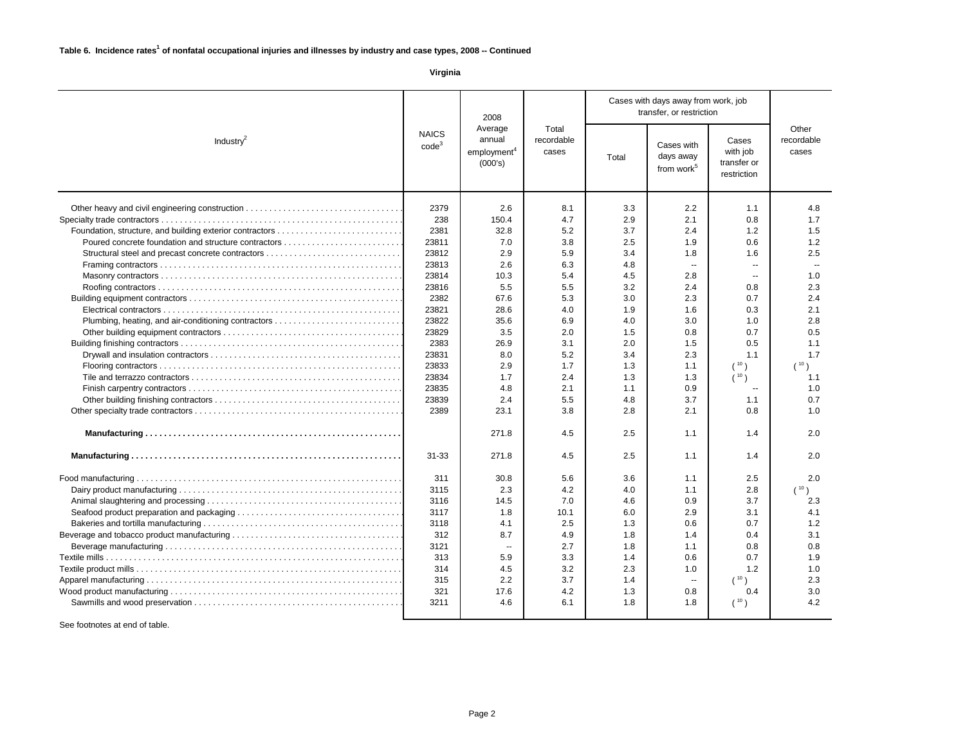| 2008                                           |                                                                                              |                              |            | Cases with days away from work, job<br>transfer, or restriction |                                                 |                              |                |  |
|------------------------------------------------|----------------------------------------------------------------------------------------------|------------------------------|------------|-----------------------------------------------------------------|-------------------------------------------------|------------------------------|----------------|--|
| Industry <sup>2</sup>                          | Average<br><b>NAICS</b><br>annual<br>code <sup>3</sup><br>employment <sup>4</sup><br>(000's) | Total<br>recordable<br>cases | Total      | Cases with<br>days away<br>from work <sup>5</sup>               | Cases<br>with job<br>transfer or<br>restriction | Other<br>recordable<br>cases |                |  |
| Other heavy and civil engineering construction | 2379<br>238                                                                                  | 2.6<br>150.4                 | 8.1<br>4.7 | 3.3<br>2.9                                                      | 2.2<br>2.1                                      | 1.1<br>0.8                   | 4.8<br>1.7     |  |
|                                                | 2381                                                                                         | 32.8                         | 5.2        | 3.7                                                             | 2.4                                             | 1.2                          | 1.5            |  |
|                                                | 23811                                                                                        | 7.0                          | 3.8        | 2.5                                                             | 1.9                                             | 0.6                          | 1.2            |  |
|                                                | 23812                                                                                        | 2.9                          | 5.9        | 3.4                                                             | 1.8                                             | 1.6                          | 2.5            |  |
|                                                | 23813                                                                                        | 2.6                          | 6.3        | 4.8                                                             | $\sim$                                          | $\sim$ $\sim$                | $\overline{a}$ |  |
|                                                | 23814                                                                                        | 10.3                         | 5.4        | 4.5                                                             | 2.8                                             | $\mathbf{u}$                 | 1.0            |  |
|                                                | 23816                                                                                        | 5.5                          | 5.5        | 3.2                                                             | 2.4                                             | 0.8                          | 2.3            |  |
|                                                | 2382                                                                                         | 67.6                         | 5.3        | 3.0                                                             | 2.3                                             | 0.7                          | 2.4            |  |
|                                                | 23821                                                                                        | 28.6                         | 4.0        | 1.9                                                             | 1.6                                             | 0.3                          | 2.1            |  |
|                                                | 23822                                                                                        | 35.6                         | 6.9        | 4.0                                                             | 3.0                                             | 1.0                          | 2.8            |  |
|                                                | 23829                                                                                        | 3.5                          | 2.0        | 1.5                                                             | 0.8                                             | 0.7                          | 0.5            |  |
|                                                | 2383                                                                                         | 26.9                         | 3.1        | 2.0                                                             | 1.5                                             | 0.5                          | 1.1            |  |
|                                                | 23831                                                                                        | 8.0                          | 5.2        | 3.4                                                             | 2.3                                             | 1.1                          | 1.7            |  |
|                                                | 23833                                                                                        | 2.9                          | 1.7        | 1.3                                                             | 1.1                                             | (10)                         | (10)           |  |
|                                                | 23834                                                                                        | 1.7                          | 2.4        | 1.3                                                             | 1.3                                             | (10)                         | 1.1            |  |
|                                                | 23835                                                                                        | 4.8                          | 2.1        | 1.1                                                             | 0.9                                             |                              | 1.0            |  |
|                                                | 23839                                                                                        | 2.4                          | 5.5        | 4.8                                                             | 3.7                                             | 1.1                          | 0.7            |  |
|                                                | 2389                                                                                         | 23.1                         | 3.8        | 2.8                                                             | 2.1                                             | 0.8                          | 1.0            |  |
|                                                |                                                                                              | 271.8                        | 4.5        | 2.5                                                             | 1.1                                             | 1.4                          | 2.0            |  |
|                                                | 31-33                                                                                        | 271.8                        | 4.5        | 2.5                                                             | 1.1                                             | 1.4                          | 2.0            |  |
|                                                | 311                                                                                          | 30.8                         | 5.6        | 3.6                                                             | 1.1                                             | 2.5                          | 2.0            |  |
|                                                | 3115                                                                                         | 2.3                          | 4.2        | 4.0                                                             | 1.1                                             | 2.8                          | (10)           |  |
|                                                | 3116                                                                                         | 14.5                         | 7.0        | 4.6                                                             | 0.9                                             | 3.7                          | 2.3            |  |
|                                                | 3117                                                                                         | 1.8                          | 10.1       | 6.0                                                             | 2.9                                             | 3.1                          | 4.1            |  |
|                                                | 3118                                                                                         | 4.1                          | 2.5        | 1.3                                                             | 0.6                                             | 0.7                          | 1.2            |  |
|                                                | 312                                                                                          | 8.7                          | 4.9        | 1.8                                                             | 1.4                                             | 0.4                          | 3.1            |  |
|                                                | 3121                                                                                         | н.                           | 2.7        | 1.8                                                             | 1.1                                             | 0.8                          | 0.8            |  |
|                                                | 313                                                                                          | 5.9                          | 3.3        | 1.4                                                             | 0.6                                             | 0.7                          | 1.9            |  |
|                                                | 314                                                                                          | 4.5                          | 3.2        | 2.3                                                             | 1.0                                             | 1.2                          | 1.0            |  |
|                                                | 315                                                                                          | 2.2                          | 3.7        | 1.4                                                             | $\mathbf{u}$                                    | $(10^{-10})$                 | 2.3            |  |
|                                                | 321                                                                                          | 17.6                         | 4.2        | 1.3                                                             | 0.8                                             | 0.4                          | 3.0            |  |
|                                                | 3211                                                                                         | 4.6                          | 6.1        | 1.8                                                             | 1.8                                             | (10)                         | 4.2            |  |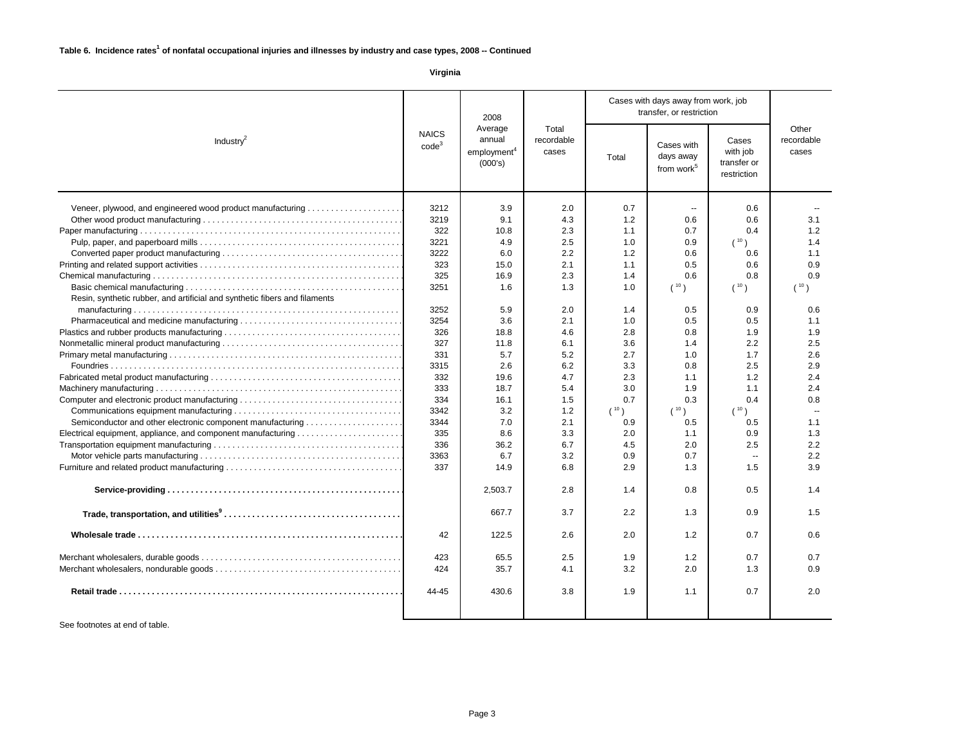|                                                                                                                                                                                                                                                         | 2008<br>Average<br><b>NAICS</b><br>annual<br>Industry $^2$<br>code <sup>3</sup><br>employment <sup>4</sup><br>(000's)                                                    |                                                                                                                                                                                             |                                                                                                                                                                             |                                                                                                                                                                                         |                                                                                                                                                                                  | Cases with days away from work, job<br>transfer, or restriction                                                                                                                          |                                                                                                                                                                |  |  |  |
|---------------------------------------------------------------------------------------------------------------------------------------------------------------------------------------------------------------------------------------------------------|--------------------------------------------------------------------------------------------------------------------------------------------------------------------------|---------------------------------------------------------------------------------------------------------------------------------------------------------------------------------------------|-----------------------------------------------------------------------------------------------------------------------------------------------------------------------------|-----------------------------------------------------------------------------------------------------------------------------------------------------------------------------------------|----------------------------------------------------------------------------------------------------------------------------------------------------------------------------------|------------------------------------------------------------------------------------------------------------------------------------------------------------------------------------------|----------------------------------------------------------------------------------------------------------------------------------------------------------------|--|--|--|
|                                                                                                                                                                                                                                                         |                                                                                                                                                                          |                                                                                                                                                                                             | Total<br>recordable<br>cases                                                                                                                                                | Cases with<br>days away<br>Total<br>from work <sup>5</sup>                                                                                                                              |                                                                                                                                                                                  | Cases<br>with job<br>transfer or<br>restriction                                                                                                                                          | Other<br>recordable<br>cases                                                                                                                                   |  |  |  |
| Veneer, plywood, and engineered wood product manufacturing<br>Resin, synthetic rubber, and artificial and synthetic fibers and filaments<br>Computer and electronic product manufacturing<br>Semiconductor and other electronic component manufacturing | 3212<br>3219<br>322<br>3221<br>3222<br>323<br>325<br>3251<br>3252<br>3254<br>326<br>327<br>331<br>3315<br>332<br>333<br>334<br>3342<br>3344<br>335<br>336<br>3363<br>337 | 3.9<br>9.1<br>10.8<br>4.9<br>6.0<br>15.0<br>16.9<br>1.6<br>5.9<br>3.6<br>18.8<br>11.8<br>5.7<br>2.6<br>19.6<br>18.7<br>16.1<br>3.2<br>7.0<br>8.6<br>36.2<br>6.7<br>14.9<br>2,503.7<br>667.7 | 2.0<br>4.3<br>2.3<br>2.5<br>2.2<br>2.1<br>2.3<br>1.3<br>2.0<br>2.1<br>4.6<br>6.1<br>5.2<br>6.2<br>4.7<br>5.4<br>1.5<br>1.2<br>2.1<br>3.3<br>6.7<br>3.2<br>6.8<br>2.8<br>3.7 | 0.7<br>1.2<br>1.1<br>1.0<br>1.2<br>1.1<br>1.4<br>1.0<br>1.4<br>1.0<br>2.8<br>3.6<br>2.7<br>3.3<br>2.3<br>3.0<br>0.7<br>10 <sub>1</sub><br>0.9<br>2.0<br>4.5<br>0.9<br>2.9<br>1.4<br>2.2 | $\sim$<br>0.6<br>0.7<br>0.9<br>0.6<br>0.5<br>0.6<br>(10)<br>0.5<br>0.5<br>0.8<br>1.4<br>1.0<br>0.8<br>1.1<br>1.9<br>0.3<br>(10)<br>0.5<br>1.1<br>2.0<br>0.7<br>1.3<br>0.8<br>1.3 | 0.6<br>0.6<br>0.4<br>(10)<br>0.6<br>0.6<br>0.8<br>(10)<br>0.9<br>0.5<br>1.9<br>2.2<br>1.7<br>2.5<br>1.2<br>1.1<br>0.4<br>$(10)^{10}$<br>0.5<br>0.9<br>2.5<br>$\sim$<br>1.5<br>0.5<br>0.9 | 3.1<br>1.2<br>1.4<br>1.1<br>0.9<br>0.9<br>(10)<br>0.6<br>1.1<br>1.9<br>2.5<br>2.6<br>2.9<br>2.4<br>2.4<br>0.8<br>1.1<br>1.3<br>2.2<br>2.2<br>3.9<br>1.4<br>1.5 |  |  |  |
|                                                                                                                                                                                                                                                         | 42                                                                                                                                                                       | 122.5                                                                                                                                                                                       | 2.6                                                                                                                                                                         | 2.0                                                                                                                                                                                     | 1.2                                                                                                                                                                              | 0.7                                                                                                                                                                                      | 0.6                                                                                                                                                            |  |  |  |
|                                                                                                                                                                                                                                                         | 423<br>424                                                                                                                                                               | 65.5<br>35.7                                                                                                                                                                                | 2.5<br>4.1                                                                                                                                                                  | 1.9<br>3.2                                                                                                                                                                              | 1.2<br>2.0                                                                                                                                                                       | 0.7<br>1.3                                                                                                                                                                               | 0.7<br>0.9                                                                                                                                                     |  |  |  |
|                                                                                                                                                                                                                                                         | 44-45                                                                                                                                                                    | 430.6                                                                                                                                                                                       | 3.8                                                                                                                                                                         | 1.9                                                                                                                                                                                     | 1.1                                                                                                                                                                              | 0.7                                                                                                                                                                                      | 2.0                                                                                                                                                            |  |  |  |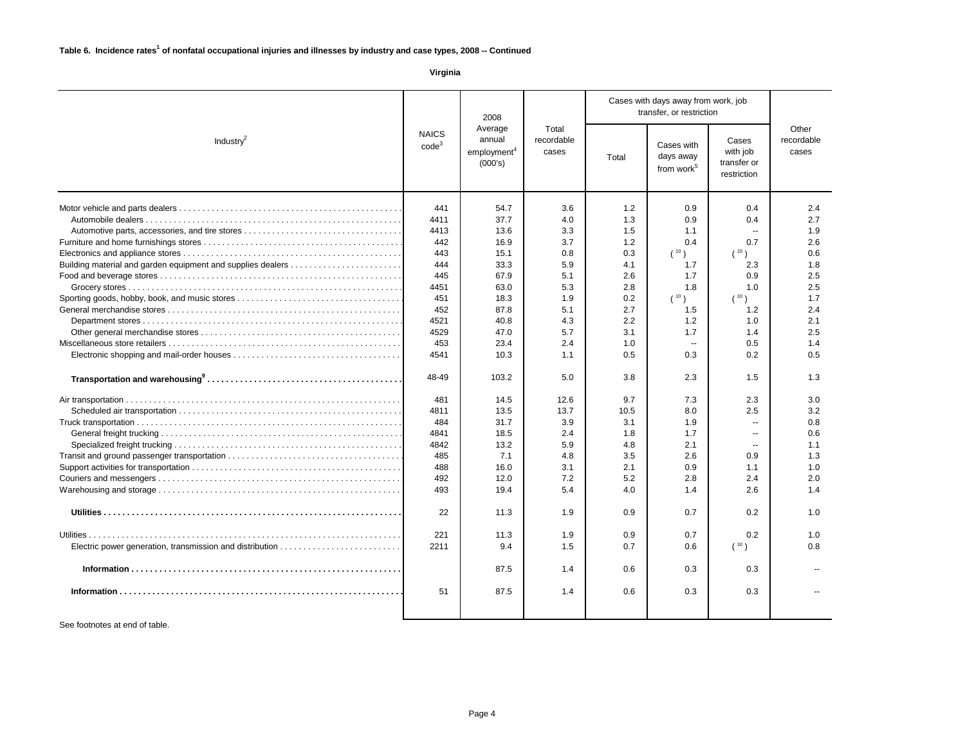|                                                             | 2008                                                   |                         |         |                              | Cases with days away from work, job<br>transfer, or restriction |                                                   |                                                 |                              |
|-------------------------------------------------------------|--------------------------------------------------------|-------------------------|---------|------------------------------|-----------------------------------------------------------------|---------------------------------------------------|-------------------------------------------------|------------------------------|
| Industry $^2$                                               | <b>NAICS</b><br>annual<br>code <sup>3</sup><br>(000's) | employment <sup>4</sup> | Average | Total<br>recordable<br>cases | Total                                                           | Cases with<br>days away<br>from work <sup>5</sup> | Cases<br>with job<br>transfer or<br>restriction | Other<br>recordable<br>cases |
|                                                             | 441                                                    | 54.7                    | 3.6     | 1.2                          | 0.9                                                             | 0.4                                               | 2.4                                             |                              |
|                                                             | 4411                                                   | 37.7                    | 4.0     | 1.3                          | 0.9                                                             | 0.4                                               | 2.7                                             |                              |
|                                                             | 4413                                                   | 13.6                    | 3.3     | 1.5                          | 1.1                                                             | $\overline{\phantom{a}}$                          | 1.9                                             |                              |
|                                                             | 442                                                    | 16.9                    | 3.7     | 1.2                          | 0.4                                                             | 0.7                                               | 2.6                                             |                              |
|                                                             | 443                                                    | 15.1                    | 0.8     | 0.3                          | (10)                                                            | (10)                                              | 0.6                                             |                              |
| Building material and garden equipment and supplies dealers | 444                                                    | 33.3                    | 5.9     | 4.1                          | 1.7                                                             | 2.3                                               | 1.8                                             |                              |
|                                                             | 445                                                    | 67.9                    | 5.1     | 2.6                          | 1.7                                                             | 0.9                                               | 2.5                                             |                              |
|                                                             | 4451                                                   | 63.0                    | 5.3     | 2.8                          | 1.8                                                             | 1.0                                               | 2.5                                             |                              |
|                                                             | 451                                                    | 18.3                    | 1.9     | 0.2                          | $(10)^{10}$                                                     | (10)                                              | 1.7                                             |                              |
|                                                             | 452                                                    | 87.8                    | 5.1     | 2.7                          | 1.5                                                             | 1.2                                               | 2.4                                             |                              |
|                                                             | 4521                                                   | 40.8                    | 4.3     | 2.2                          | 1.2                                                             | 1.0                                               | 2.1                                             |                              |
|                                                             | 4529                                                   | 47.0                    | 5.7     | 3.1                          | 1.7                                                             | 1.4                                               | 2.5                                             |                              |
|                                                             | 453                                                    | 23.4                    | 2.4     | 1.0                          | $\sim$                                                          | 0.5                                               | 1.4                                             |                              |
|                                                             | 4541                                                   | 10.3                    | 1.1     | 0.5                          | 0.3                                                             | 0.2                                               | 0.5                                             |                              |
|                                                             | 48-49                                                  | 103.2                   | 5.0     | 3.8                          | 2.3                                                             | 1.5                                               | 1.3                                             |                              |
|                                                             | 481                                                    | 14.5                    | 12.6    | 9.7                          | 7.3                                                             | 2.3                                               | 3.0                                             |                              |
|                                                             | 4811                                                   | 13.5                    | 13.7    | 10.5                         | 8.0                                                             | 2.5                                               | 3.2                                             |                              |
|                                                             | 484                                                    | 31.7                    | 3.9     | 3.1                          | 1.9                                                             | $\overline{\phantom{a}}$                          | 0.8                                             |                              |
|                                                             | 4841                                                   | 18.5                    | 2.4     | 1.8                          | 1.7                                                             | $\mathbf{u}$                                      | 0.6                                             |                              |
|                                                             | 4842                                                   | 13.2                    | 5.9     | 4.8                          | 2.1                                                             | $\overline{\phantom{a}}$                          | 1.1                                             |                              |
|                                                             | 485                                                    | 7.1                     | 4.8     | 3.5                          | 2.6                                                             | 0.9                                               | 1.3                                             |                              |
|                                                             | 488                                                    | 16.0                    | 3.1     | 2.1                          | 0.9                                                             | 1.1                                               | 1.0                                             |                              |
|                                                             | 492                                                    | 12.0                    | 7.2     | 5.2                          | 2.8                                                             | 2.4                                               | 2.0                                             |                              |
|                                                             | 493                                                    | 19.4                    | 5.4     | 4.0                          | 1.4                                                             | 2.6                                               | 1.4                                             |                              |
|                                                             | 22                                                     | 11.3                    | 1.9     | 0.9                          | 0.7                                                             | 0.2                                               | 1.0                                             |                              |
|                                                             | 221                                                    | 11.3                    | 1.9     | 0.9                          | 0.7                                                             | 0.2                                               | 1.0                                             |                              |
|                                                             | 2211                                                   | 9.4                     | 1.5     | 0.7                          | 0.6                                                             | (10)                                              | 0.8                                             |                              |
|                                                             |                                                        | 87.5                    | 1.4     | 0.6                          | 0.3                                                             | 0.3                                               |                                                 |                              |
|                                                             | 51                                                     | 87.5                    | 1.4     | 0.6                          | 0.3                                                             | 0.3                                               |                                                 |                              |
|                                                             |                                                        |                         |         |                              |                                                                 |                                                   |                                                 |                              |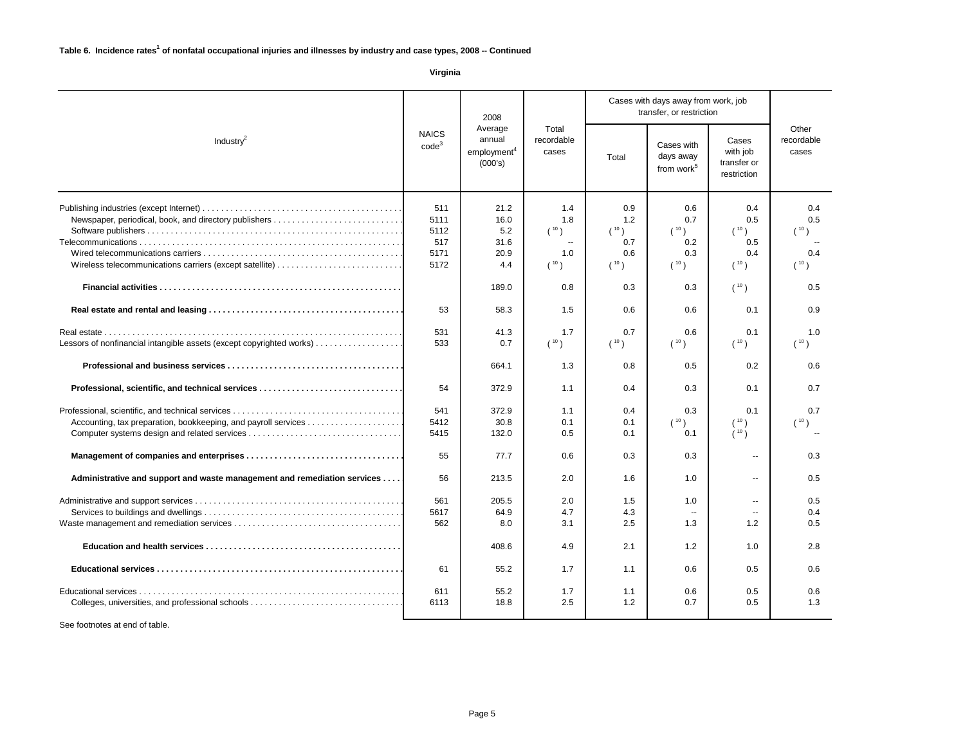|                                                                                                                  | 2008                                       |                                            |                                   |                                                   | Cases with days away from work, job<br>transfer, or restriction |                                          |                                   |
|------------------------------------------------------------------------------------------------------------------|--------------------------------------------|--------------------------------------------|-----------------------------------|---------------------------------------------------|-----------------------------------------------------------------|------------------------------------------|-----------------------------------|
| Average<br><b>NAICS</b><br>annual<br>Industry $^2$<br>code <sup>3</sup><br>employment <sup>4</sup><br>(000's)    |                                            | Total<br>recordable<br>cases               | Total                             | Cases with<br>days away<br>from work <sup>5</sup> | Cases<br>with job<br>transfer or<br>restriction                 | Other<br>recordable<br>cases             |                                   |
| Newspaper, periodical, book, and directory publishers<br>Wireless telecommunications carriers (except satellite) | 511<br>5111<br>5112<br>517<br>5171<br>5172 | 21.2<br>16.0<br>5.2<br>31.6<br>20.9<br>4.4 | 1.4<br>1.8<br>(10)<br>1.0<br>(10) | 0.9<br>1.2<br>(10)<br>0.7<br>0.6<br>(10)          | 0.6<br>0.7<br>(10)<br>0.2<br>0.3<br>(10)                        | 0.4<br>0.5<br>(10)<br>0.5<br>0.4<br>(10) | 0.4<br>0.5<br>(10)<br>0.4<br>(10) |
|                                                                                                                  |                                            | 189.0                                      | 0.8                               | 0.3                                               | 0.3                                                             | (10)                                     | 0.5                               |
|                                                                                                                  | 53                                         | 58.3                                       | 1.5                               | 0.6                                               | 0.6                                                             | 0.1                                      | 0.9                               |
|                                                                                                                  | 531                                        | 41.3                                       | 1.7                               | 0.7                                               | 0.6                                                             | 0.1                                      | 1.0                               |
| Lessors of nonfinancial intangible assets (except copyrighted works)                                             | 533                                        | 0.7                                        | (10)                              | (10)                                              | (10)                                                            | (10)                                     | (10)                              |
|                                                                                                                  |                                            | 664.1                                      | 1.3                               | 0.8                                               | 0.5                                                             | 0.2                                      | 0.6                               |
|                                                                                                                  | 54                                         | 372.9                                      | 1.1                               | 0.4                                               | 0.3                                                             | 0.1                                      | 0.7                               |
|                                                                                                                  | 541                                        | 372.9                                      | 1.1                               | 0.4                                               | 0.3                                                             | 0.1                                      | 0.7                               |
|                                                                                                                  | 5412                                       | 30.8                                       | 0.1                               | 0.1                                               | (10)                                                            | (10)                                     | (10)                              |
|                                                                                                                  | 5415                                       | 132.0                                      | 0.5                               | 0.1                                               | 0.1                                                             | (10)                                     |                                   |
|                                                                                                                  | 55                                         | 77.7                                       | 0.6                               | 0.3                                               | 0.3                                                             | $\overline{\phantom{a}}$                 | 0.3                               |
| Administrative and support and waste management and remediation services                                         | 56                                         | 213.5                                      | 2.0                               | 1.6                                               | 1.0                                                             | $\sim$                                   | 0.5                               |
|                                                                                                                  | 561                                        | 205.5                                      | 2.0                               | 1.5                                               | 1.0                                                             | $\overline{\phantom{a}}$                 | 0.5                               |
|                                                                                                                  | 5617                                       | 64.9                                       | 4.7                               | 4.3                                               | $\sim$                                                          | $\sim$ $\sim$                            | 0.4                               |
|                                                                                                                  | 562                                        | 8.0                                        | 3.1                               | 2.5                                               | 1.3                                                             | 1.2                                      | 0.5                               |
|                                                                                                                  |                                            | 408.6                                      | 4.9                               | 2.1                                               | 1.2                                                             | 1.0                                      | 2.8                               |
|                                                                                                                  | 61                                         | 55.2                                       | 1.7                               | 1.1                                               | 0.6                                                             | 0.5                                      | 0.6                               |
|                                                                                                                  | 611                                        | 55.2                                       | 1.7                               | 1.1                                               | 0.6                                                             | 0.5                                      | 0.6                               |
|                                                                                                                  | 6113                                       | 18.8                                       | 2.5                               | 1.2                                               | 0.7                                                             | 0.5                                      | 1.3                               |
|                                                                                                                  |                                            |                                            |                                   |                                                   |                                                                 |                                          |                                   |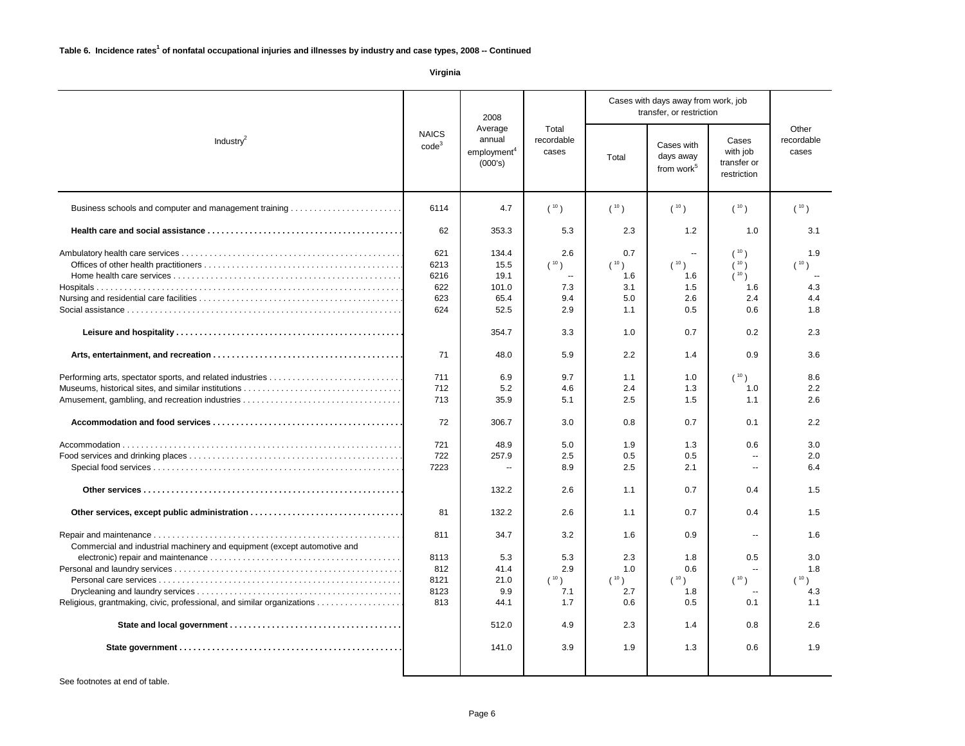|                                                                          | 2008<br>Average<br><b>NAICS</b><br>annual<br>Industry $^2$<br>code <sup>3</sup><br>employment <sup>4</sup><br>(000's) |                                                                                                                 | Total<br>recordable<br>cases                                                                    |                                                                                                        | Cases with days away from work, job<br>transfer, or restriction                                           |                                                                                                                                                     |                                                                                                        |  |
|--------------------------------------------------------------------------|-----------------------------------------------------------------------------------------------------------------------|-----------------------------------------------------------------------------------------------------------------|-------------------------------------------------------------------------------------------------|--------------------------------------------------------------------------------------------------------|-----------------------------------------------------------------------------------------------------------|-----------------------------------------------------------------------------------------------------------------------------------------------------|--------------------------------------------------------------------------------------------------------|--|
|                                                                          |                                                                                                                       |                                                                                                                 |                                                                                                 |                                                                                                        | Cases with<br>days away<br>from work <sup>5</sup>                                                         | Cases<br>with job<br>transfer or<br>restriction                                                                                                     | Other<br>recordable<br>cases                                                                           |  |
| Business schools and computer and management training                    | 6114                                                                                                                  | 4.7                                                                                                             | (10)                                                                                            | (10)                                                                                                   | (10)                                                                                                      | (10)                                                                                                                                                | (10)                                                                                                   |  |
|                                                                          |                                                                                                                       | 353.3                                                                                                           | 5.3                                                                                             | 2.3                                                                                                    | 1.2                                                                                                       | 1.0                                                                                                                                                 | 3.1                                                                                                    |  |
|                                                                          | 621<br>6213<br>6216<br>622<br>623<br>624<br>71<br>711<br>712<br>713<br>72<br>721<br>722<br>7223                       | 134.4<br>15.5<br>19.1<br>101.0<br>65.4<br>52.5<br>354.7<br>48.0<br>6.9<br>5.2<br>35.9<br>306.7<br>48.9<br>257.9 | 2.6<br>(10)<br>7.3<br>9.4<br>2.9<br>3.3<br>5.9<br>9.7<br>4.6<br>5.1<br>3.0<br>5.0<br>2.5<br>8.9 | 0.7<br>(10)<br>1.6<br>3.1<br>5.0<br>1.1<br>1.0<br>2.2<br>1.1<br>2.4<br>2.5<br>0.8<br>1.9<br>0.5<br>2.5 | $\sim$<br>(10)<br>1.6<br>1.5<br>2.6<br>0.5<br>0.7<br>1.4<br>1.0<br>1.3<br>1.5<br>0.7<br>1.3<br>0.5<br>2.1 | (10)<br>(10)<br>(10)<br>1.6<br>2.4<br>0.6<br>0.2<br>0.9<br>(10)<br>1.0<br>1.1<br>0.1<br>0.6<br>$\overline{\phantom{a}}$<br>$\overline{\phantom{a}}$ | 1.9<br>$(10)^{10}$<br>4.3<br>4.4<br>1.8<br>2.3<br>3.6<br>8.6<br>2.2<br>2.6<br>2.2<br>3.0<br>2.0<br>6.4 |  |
|                                                                          |                                                                                                                       | 132.2                                                                                                           | 2.6                                                                                             | 1.1                                                                                                    | 0.7                                                                                                       | 0.4                                                                                                                                                 | 1.5                                                                                                    |  |
|                                                                          | 81                                                                                                                    | 132.2                                                                                                           | 2.6                                                                                             | 1.1                                                                                                    | 0.7                                                                                                       | 0.4                                                                                                                                                 | 1.5                                                                                                    |  |
| Commercial and industrial machinery and equipment (except automotive and | 811                                                                                                                   | 34.7                                                                                                            | 3.2                                                                                             | 1.6                                                                                                    | 0.9                                                                                                       | $\overline{\phantom{a}}$                                                                                                                            | 1.6                                                                                                    |  |
|                                                                          | 8113                                                                                                                  | 5.3                                                                                                             | 5.3                                                                                             | 2.3                                                                                                    | 1.8                                                                                                       | 0.5                                                                                                                                                 | 3.0                                                                                                    |  |
|                                                                          | 812                                                                                                                   | 41.4                                                                                                            | 2.9                                                                                             | 1.0                                                                                                    | 0.6                                                                                                       | $\sim$                                                                                                                                              | 1.8                                                                                                    |  |
|                                                                          | 8121                                                                                                                  | 21.0                                                                                                            | (10)                                                                                            | (10)                                                                                                   | (10)                                                                                                      | (10)                                                                                                                                                | (10                                                                                                    |  |
|                                                                          | 8123                                                                                                                  | 9.9                                                                                                             | 7.1                                                                                             | 2.7                                                                                                    | 1.8                                                                                                       |                                                                                                                                                     | 4.3                                                                                                    |  |
| Religious, grantmaking, civic, professional, and similar organizations   | 813                                                                                                                   | 44.1                                                                                                            | 1.7                                                                                             | 0.6                                                                                                    | 0.5                                                                                                       | 0.1                                                                                                                                                 | 1.1                                                                                                    |  |
|                                                                          |                                                                                                                       | 512.0                                                                                                           | 4.9                                                                                             | 2.3                                                                                                    | 1.4                                                                                                       | 0.8                                                                                                                                                 | 2.6                                                                                                    |  |
|                                                                          |                                                                                                                       | 141.0                                                                                                           | 3.9                                                                                             | 1.9                                                                                                    | 1.3                                                                                                       | 0.6                                                                                                                                                 | 1.9                                                                                                    |  |
|                                                                          |                                                                                                                       |                                                                                                                 |                                                                                                 |                                                                                                        |                                                                                                           |                                                                                                                                                     |                                                                                                        |  |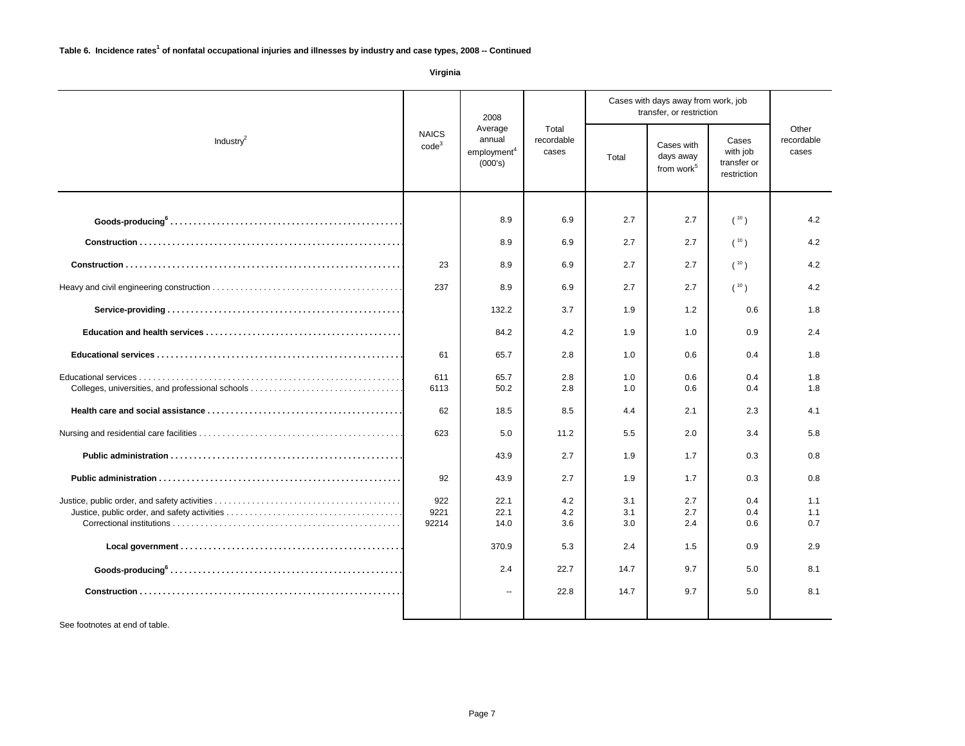|                                                  | 2008                                                                                         |                              |            |                                                   |                                                 |                              |            |  |  |  | Cases with days away from work, job<br>transfer, or restriction |  |  |
|--------------------------------------------------|----------------------------------------------------------------------------------------------|------------------------------|------------|---------------------------------------------------|-------------------------------------------------|------------------------------|------------|--|--|--|-----------------------------------------------------------------|--|--|
| Industry $^2$                                    | Average<br><b>NAICS</b><br>annual<br>code <sup>3</sup><br>employment <sup>4</sup><br>(000's) | Total<br>recordable<br>cases |            | Cases with<br>days away<br>from work <sup>5</sup> | Cases<br>with job<br>transfer or<br>restriction | Other<br>recordable<br>cases |            |  |  |  |                                                                 |  |  |
|                                                  |                                                                                              | 8.9                          | 6.9        | 2.7                                               | 2.7                                             | (10)                         | 4.2        |  |  |  |                                                                 |  |  |
|                                                  |                                                                                              | 8.9                          | 6.9        | 2.7                                               | 2.7                                             | (10)                         | 4.2        |  |  |  |                                                                 |  |  |
|                                                  |                                                                                              |                              |            | 2.7                                               | 2.7                                             |                              | 4.2        |  |  |  |                                                                 |  |  |
|                                                  | 23<br>8.9<br>6.9                                                                             |                              |            |                                                   | (10)                                            |                              |            |  |  |  |                                                                 |  |  |
|                                                  | 237                                                                                          |                              | 6.9        | 2.7                                               | 2.7                                             | (10)                         | 4.2        |  |  |  |                                                                 |  |  |
|                                                  |                                                                                              | 132.2                        | 3.7        | 1.9                                               | 1.2                                             | 0.6                          | 1.8        |  |  |  |                                                                 |  |  |
|                                                  |                                                                                              | 84.2                         | 4.2        | 1.9                                               | 1.0                                             | 0.9                          | 2.4        |  |  |  |                                                                 |  |  |
|                                                  | 61                                                                                           | 65.7                         | 2.8        | 1.0                                               | 0.6                                             | 0.4                          | 1.8        |  |  |  |                                                                 |  |  |
| Colleges, universities, and professional schools |                                                                                              | 65.7<br>50.2                 | 2.8<br>2.8 | 1.0<br>1.0                                        | 0.6<br>0.6                                      | 0.4<br>0.4                   | 1.8<br>1.8 |  |  |  |                                                                 |  |  |
|                                                  | 62                                                                                           | 18.5                         | 8.5        | 4.4                                               | 2.1                                             | 2.3                          | 4.1        |  |  |  |                                                                 |  |  |
|                                                  | 623                                                                                          | 5.0                          | 11.2       | 5.5                                               | 2.0                                             | 3.4                          | 5.8        |  |  |  |                                                                 |  |  |
|                                                  |                                                                                              | 43.9                         | 2.7        | 1.9                                               | 1.7                                             | 0.3                          | 0.8        |  |  |  |                                                                 |  |  |
|                                                  | 92                                                                                           | 43.9                         | 2.7        | 1.9                                               | 1.7                                             | 0.3                          | 0.8        |  |  |  |                                                                 |  |  |
|                                                  | 922                                                                                          | 22.1                         | 4.2        | 3.1                                               | 2.7                                             | 0.4                          | 1.1        |  |  |  |                                                                 |  |  |
|                                                  | 9221<br>92214                                                                                | 22.1<br>14.0                 | 4.2<br>3.6 | 3.1<br>3.0                                        | 2.7<br>2.4                                      | 0.4<br>0.6                   | 1.1<br>0.7 |  |  |  |                                                                 |  |  |
|                                                  |                                                                                              |                              |            |                                                   |                                                 |                              |            |  |  |  |                                                                 |  |  |
|                                                  |                                                                                              | 370.9                        | 5.3        | 2.4                                               | 1.5                                             | 0.9                          | 2.9        |  |  |  |                                                                 |  |  |
|                                                  |                                                                                              | 2.4                          | 22.7       | 14.7                                              | 9.7                                             | 5.0                          | 8.1        |  |  |  |                                                                 |  |  |
|                                                  |                                                                                              | ц.                           | 22.8       | 14.7                                              | 9.7                                             | 5.0                          | 8.1        |  |  |  |                                                                 |  |  |
|                                                  |                                                                                              |                              |            |                                                   |                                                 |                              |            |  |  |  |                                                                 |  |  |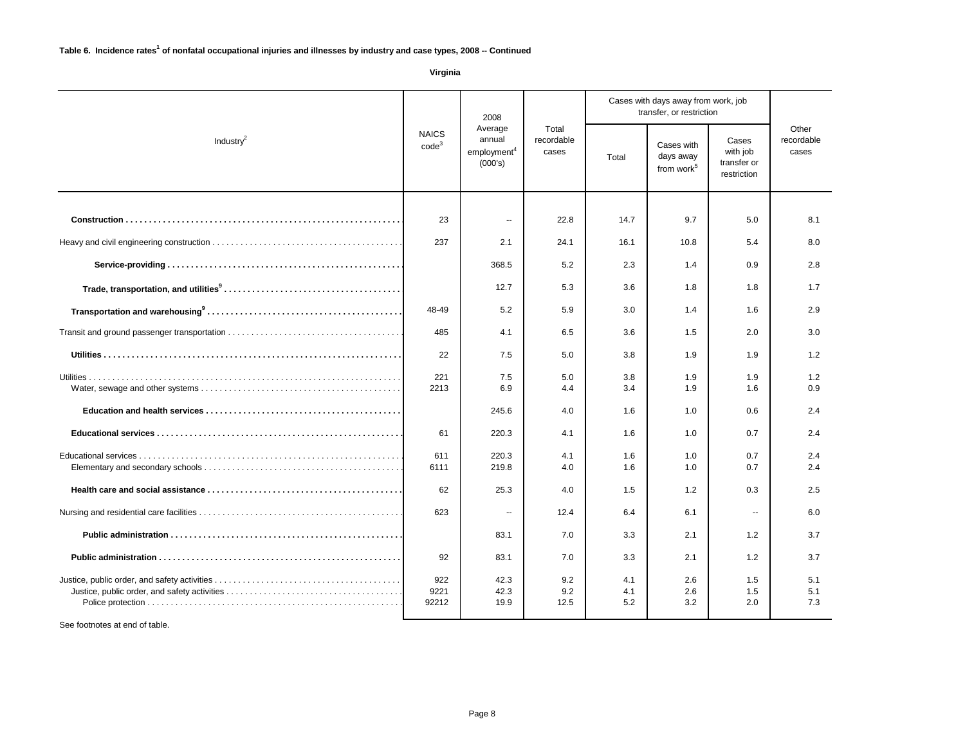|                       | 2008                                                                              |                                         |                    |                                                   |                                                 |                              | Cases with days away from work, job<br>transfer, or restriction |  |  |
|-----------------------|-----------------------------------------------------------------------------------|-----------------------------------------|--------------------|---------------------------------------------------|-------------------------------------------------|------------------------------|-----------------------------------------------------------------|--|--|
| Industry <sup>2</sup> | <b>NAICS</b><br>annual<br>$\mathsf{code}^3$<br>employment <sup>4</sup><br>(000's) | Average<br>Total<br>recordable<br>cases |                    | Cases with<br>days away<br>from work <sup>5</sup> | Cases<br>with job<br>transfer or<br>restriction | Other<br>recordable<br>cases |                                                                 |  |  |
|                       | 23                                                                                | $\overline{\phantom{a}}$                | 22.8               | 14.7                                              | 9.7                                             | 5.0                          | 8.1                                                             |  |  |
|                       |                                                                                   |                                         |                    |                                                   |                                                 |                              |                                                                 |  |  |
|                       | 237                                                                               | 2.1                                     | 24.1               | 16.1                                              | 10.8                                            | 5.4                          | 8.0                                                             |  |  |
|                       |                                                                                   | 368.5                                   | 5.2                | 2.3                                               | 1.4                                             | 0.9                          | 2.8                                                             |  |  |
|                       |                                                                                   | 12.7                                    | 5.3                | 3.6                                               | 1.8                                             | 1.8                          | 1.7                                                             |  |  |
|                       | 48-49                                                                             | 5.2                                     | 5.9                | 3.0                                               | 1.4                                             | 1.6                          | 2.9                                                             |  |  |
|                       | 485                                                                               | 4.1                                     | 6.5                | 3.6                                               | 1.5                                             | 2.0                          | 3.0                                                             |  |  |
|                       | 22                                                                                | 7.5                                     | 5.0                | 3.8                                               | 1.9                                             | 1.9                          | 1.2                                                             |  |  |
|                       | 221<br>2213                                                                       | 7.5<br>6.9                              | 5.0<br>4.4         | 3.8<br>3.4                                        | 1.9<br>1.9                                      | 1.9<br>1.6                   | 1.2<br>0.9                                                      |  |  |
|                       |                                                                                   | 245.6                                   | 4.0                | 1.6                                               | 1.0                                             | 0.6                          | 2.4                                                             |  |  |
|                       | 61                                                                                | 220.3                                   | 4.1                | 1.6                                               | 1.0                                             | 0.7                          | 2.4                                                             |  |  |
|                       | 611                                                                               | 220.3                                   | 4.1                | 1.6                                               | 1.0                                             | 0.7                          | 2.4                                                             |  |  |
|                       | 6111                                                                              | 219.8                                   | 4.0                | 1.6                                               | 1.0                                             | 0.7                          | 2.4                                                             |  |  |
|                       | 62                                                                                | 25.3                                    | 4.0                | 1.5                                               | 1.2                                             | 0.3                          | 2.5                                                             |  |  |
|                       | 623                                                                               | $\overline{a}$                          | 12.4               | 6.4                                               | 6.1                                             | $\sim$                       | 6.0                                                             |  |  |
|                       |                                                                                   | 83.1                                    | 7.0                | 3.3                                               | 2.1                                             | 1.2                          | 3.7                                                             |  |  |
|                       | 92                                                                                | 83.1                                    | 7.0                | 3.3                                               | 2.1                                             | 1.2                          | 3.7                                                             |  |  |
|                       | 922<br>9221<br>92212                                                              | 42.3<br>42.3<br>19.9                    | 9.2<br>9.2<br>12.5 | 4.1<br>4.1<br>5.2                                 | 2.6<br>2.6<br>3.2                               | 1.5<br>1.5<br>2.0            | 5.1<br>5.1<br>7.3                                               |  |  |